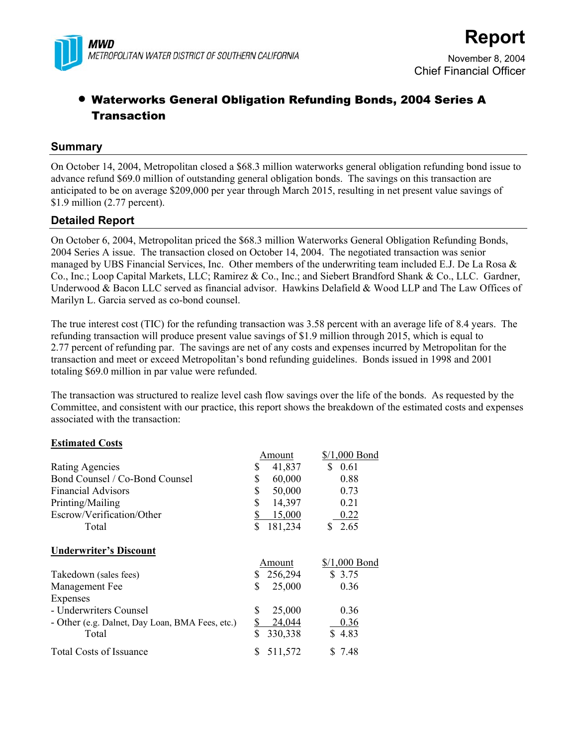

# Chief Financial Officer

# • Waterworks General Obligation Refunding Bonds, 2004 Series A **Transaction**

#### **Summary**

On October 14, 2004, Metropolitan closed a \$68.3 million waterworks general obligation refunding bond issue to advance refund \$69.0 million of outstanding general obligation bonds. The savings on this transaction are anticipated to be on average \$209,000 per year through March 2015, resulting in net present value savings of \$1.9 million (2.77 percent).

### **Detailed Report**

On October 6, 2004, Metropolitan priced the \$68.3 million Waterworks General Obligation Refunding Bonds, 2004 Series A issue. The transaction closed on October 14, 2004. The negotiated transaction was senior managed by UBS Financial Services, Inc. Other members of the underwriting team included E.J. De La Rosa  $\&$ Co., Inc.; Loop Capital Markets, LLC; Ramirez & Co., Inc.; and Siebert Brandford Shank & Co., LLC. Gardner, Underwood & Bacon LLC served as financial advisor. Hawkins Delafield & Wood LLP and The Law Offices of Marilyn L. Garcia served as co-bond counsel.

The true interest cost (TIC) for the refunding transaction was 3.58 percent with an average life of 8.4 years. The refunding transaction will produce present value savings of \$1.9 million through 2015, which is equal to 2.77 percent of refunding par. The savings are net of any costs and expenses incurred by Metropolitan for the transaction and meet or exceed Metropolitan's bond refunding guidelines. Bonds issued in 1998 and 2001 totaling \$69.0 million in par value were refunded.

The transaction was structured to realize level cash flow savings over the life of the bonds. As requested by the Committee, and consistent with our practice, this report shows the breakdown of the estimated costs and expenses associated with the transaction:

#### **Estimated Costs**

|                                                 | Amount        | $$/1,000$ Bond |
|-------------------------------------------------|---------------|----------------|
| <b>Rating Agencies</b>                          | 41,837<br>\$  | S<br>0.61      |
| Bond Counsel / Co-Bond Counsel                  | \$<br>60,000  | 0.88           |
| <b>Financial Advisors</b>                       | \$<br>50,000  | 0.73           |
| Printing/Mailing                                | \$<br>14,397  | 0.21           |
| Escrow/Verification/Other                       | \$<br>15,000  | 0.22           |
| Total                                           | \$<br>181,234 | \$2.65         |
| <b>Underwriter's Discount</b>                   |               |                |
|                                                 | Amount        | $$/1,000$ Bond |
| Takedown (sales fees)                           | 256,294<br>S. | \$3.75         |
| Management Fee                                  | \$<br>25,000  | 0.36           |
| Expenses                                        |               |                |
| - Underwriters Counsel                          | \$<br>25,000  | 0.36           |
| - Other (e.g. Dalnet, Day Loan, BMA Fees, etc.) | \$<br>24,044  | 0.36           |
| Total                                           | \$<br>330,338 | \$4.83         |
| <b>Total Costs of Issuance</b>                  | 511,572       | \$7.48         |